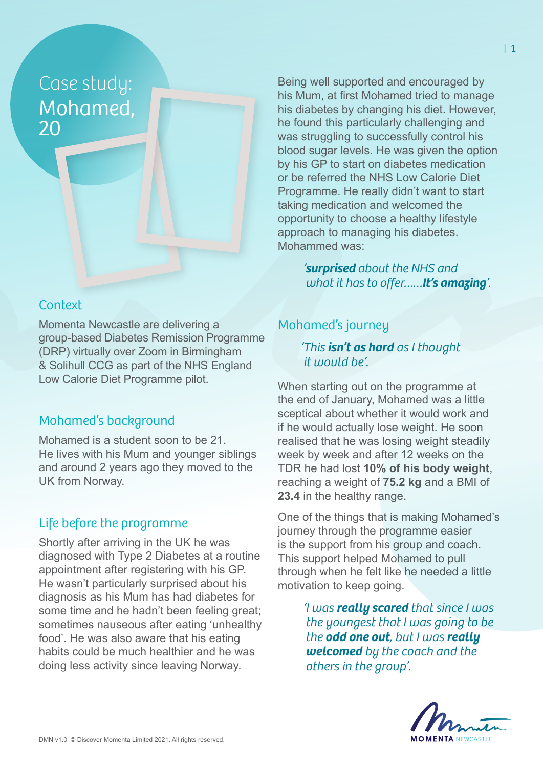# Case study: Mohamed, 20

## **Context**

Momenta Newcastle are delivering a group-based Diabetes Remission Programme (DRP) virtually over Zoom in Birmingham & Solihull CCG as part of the NHS England Low Calorie Diet Programme pilot.

## Mohamed's background

Mohamed is a student soon to be 21. He lives with his Mum and younger siblings and around 2 years ago they moved to the UK from Norway.

## Life before the programme

Shortly after arriving in the UK he was diagnosed with Type 2 Diabetes at a routine appointment after registering with his GP. He wasn't particularly surprised about his diagnosis as his Mum has had diabetes for some time and he hadn't been feeling great; sometimes nauseous after eating 'unhealthy food'. He was also aware that his eating habits could be much healthier and he was doing less activity since leaving Norway.

Being well supported and encouraged by his Mum, at first Mohamed tried to manage his diabetes by changing his diet. However, he found this particularly challenging and was struggling to successfully control his blood sugar levels. He was given the option by his GP to start on diabetes medication or be referred the NHS Low Calorie Diet Programme. He really didn't want to start taking medication and welcomed the opportunity to choose a healthy lifestyle approach to managing his diabetes. Mohammed was:

> *'surprised about the NHS and what it has to offer……It's amazing'.*

## Mohamed's journey

*'This isn't as hard as I thought it would be'.*

When starting out on the programme at the end of January, Mohamed was a little sceptical about whether it would work and if he would actually lose weight. He soon realised that he was losing weight steadily week by week and after 12 weeks on the TDR he had lost **10% of his body weight**, reaching a weight of **75.2 kg** and a BMI of **23.4** in the healthy range.

One of the things that is making Mohamed's journey through the programme easier is the support from his group and coach. This support helped Mohamed to pull through when he felt like he needed a little motivation to keep going.

> *'I was really scared that since I was the youngest that I was going to be the odd one out, but I was really welcomed by the coach and the others in the group'.*

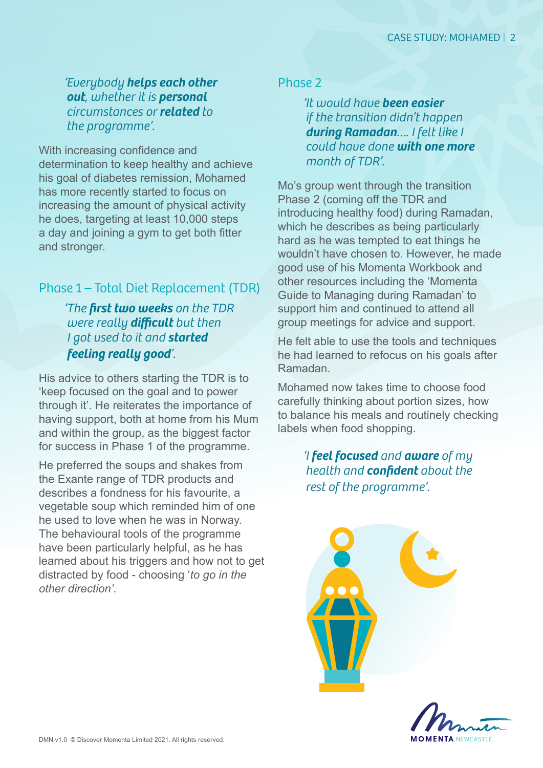*'Everybody helps each other out, whether it is personal circumstances or related to the programme'.*

With increasing confidence and determination to keep healthy and achieve his goal of diabetes remission, Mohamed has more recently started to focus on increasing the amount of physical activity he does, targeting at least 10,000 steps a day and joining a gym to get both fitter and stronger.

## Phase 1 – Total Diet Replacement (TDR)

*'The first two weeks on the TDR were really difficult but then I got used to it and started feeling really good'.*

His advice to others starting the TDR is to 'keep focused on the goal and to power through it'. He reiterates the importance of having support, both at home from his Mum and within the group, as the biggest factor for success in Phase 1 of the programme.

He preferred the soups and shakes from the Exante range of TDR products and describes a fondness for his favourite, a vegetable soup which reminded him of one he used to love when he was in Norway. The behavioural tools of the programme have been particularly helpful, as he has learned about his triggers and how not to get distracted by food - choosing '*to go in the other direction'.* 

#### Phase 2

*'It would have been easier if the transition didn't happen during Ramadan…. I felt like I could have done with one more month of TDR'.*

Mo's group went through the transition Phase 2 (coming off the TDR and introducing healthy food) during Ramadan, which he describes as being particularly hard as he was tempted to eat things he wouldn't have chosen to. However, he made good use of his Momenta Workbook and other resources including the 'Momenta Guide to Managing during Ramadan' to support him and continued to attend all group meetings for advice and support.

He felt able to use the tools and techniques he had learned to refocus on his goals after Ramadan.

Mohamed now takes time to choose food carefully thinking about portion sizes, how to balance his meals and routinely checking labels when food shopping.

> *'I feel focused and aware of my health and confident about the rest of the programme'.*